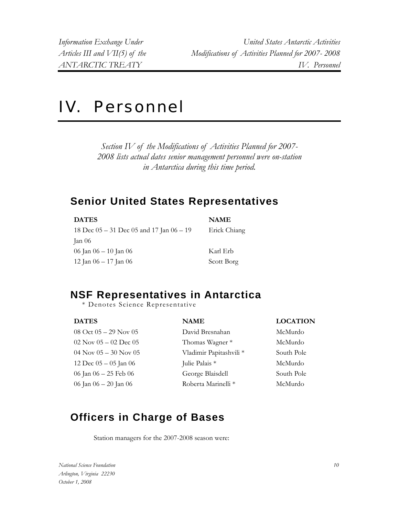*Information Exchange Under United States Antarctic Activities Articles III and VII(5) of the Modifications of Activities Planned for 2007- 2008 ANTARCTIC TREATY IV. Personnel* 

# IV. Personnel

*Section IV of the Modifications of Activities Planned for 2007- 2008 lists actual dates senior management personnel were on-station in Antarctica during this time period.* 

### **Senior United States Representatives**

| <b>DATES</b>                                   | <b>NAME</b>  |
|------------------------------------------------|--------------|
| 18 Dec $05 - 31$ Dec $05$ and 17 Jan $06 - 19$ | Erick Chiang |
| Jan 06                                         |              |
| 06 Jan 06 – 10 Jan 06                          | Karl Erb     |
| 12 Jan $06 - 17$ Jan $06$                      | Scott Borg   |

# **NSF Representatives in Antarctica**

\* Denotes Science Representative

| <b>DATES</b><br><b>NAME</b>                            | <b>LOCATION</b> |
|--------------------------------------------------------|-----------------|
| 08 Oct $05 - 29$ Nov $05$<br>David Bresnahan           | McMurdo         |
| $02$ Nov $05 - 02$ Dec $05$<br>Thomas Wagner *         | McMurdo         |
| Vladimir Papitashvili *<br>$04$ Nov $05 - 30$ Nov $05$ | South Pole      |
| Julie Palais *<br>12 Dec $05 - 05$ Jan 06              | McMurdo         |
| George Blaisdell<br>06 Jan 06 – 25 Feb 06              | South Pole      |
| Roberta Marinelli *<br>06 Jan 06 – 20 Jan 06           | McMurdo         |

# **Officers in Charge of Bases**

Station managers for the 2007-2008 season were:

*National Science Foundation Arlington, Virginia 22230 October 1, 2008*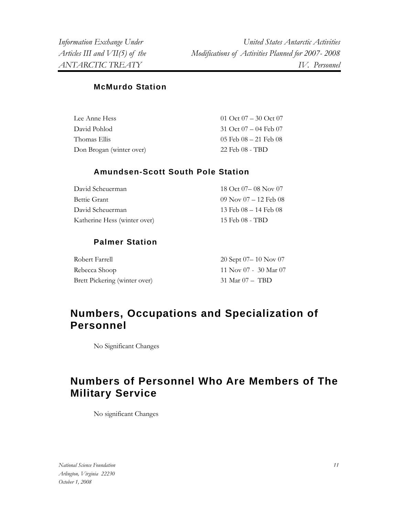*Information Exchange Under United States Antarctic Activities Articles III and VII(5) of the Modifications of Activities Planned for 2007- 2008 ANTARCTIC TREATY IV. Personnel* 

#### **McMurdo Station**

| Lee Anne Hess            | 01 Oct $07 - 30$ Oct $07$ |
|--------------------------|---------------------------|
| David Pohlod             | 31 Oct $07 - 04$ Feb $07$ |
| Thomas Ellis             | 05 Feb $08 - 21$ Feb $08$ |
| Don Brogan (winter over) | 22 Feb 08 - TBD           |

#### **Amundsen-Scott South Pole Station**

| David Scheuerman             | 18 Oct 07 – 08 Nov 07       |
|------------------------------|-----------------------------|
| Bettie Grant                 | $09$ Nov $07 - 12$ Feb $08$ |
| David Scheuerman             | 13 Feb $08 - 14$ Feb $08$   |
| Katherine Hess (winter over) | 15 Feb 08 - TBD             |

#### **Palmer Station**

| Robert Farrell                | 20 Sept $07-10$ Nov $07$ |
|-------------------------------|--------------------------|
| Rebecca Shoop                 | $11$ Nov 07 - 30 Mar 07  |
| Brett Pickering (winter over) | $31$ Mar $07 - TBD$      |

## **Personnel Numbers, Occupations and Specialization of**

No Significant Changes

# **Military Service Numbers of Personnel Who Are Members of The**

No significant Changes

*National Science Foundation Arlington, Virginia 22230 October 1, 2008*